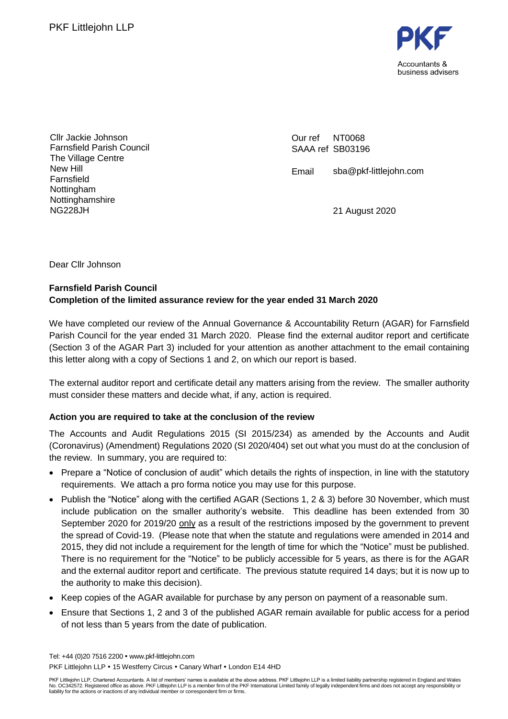

Cllr Jackie Johnson Farnsfield Parish Council The Village Centre New Hill Farnsfield Nottingham Nottinghamshire NG228JH

Our ref SAAA ref SB03196 NT0068

Email sba@pkf-littlejohn.com

21 August 2020

Dear Cllr Johnson

### **Farnsfield Parish Council Completion of the limited assurance review for the year ended 31 March 2020**

We have completed our review of the Annual Governance & Accountability Return (AGAR) for Farnsfield Parish Council for the year ended 31 March 2020. Please find the external auditor report and certificate (Section 3 of the AGAR Part 3) included for your attention as another attachment to the email containing this letter along with a copy of Sections 1 and 2, on which our report is based.

The external auditor report and certificate detail any matters arising from the review. The smaller authority must consider these matters and decide what, if any, action is required.

### **Action you are required to take at the conclusion of the review**

The Accounts and Audit Regulations 2015 (SI 2015/234) as amended by the Accounts and Audit (Coronavirus) (Amendment) Regulations 2020 (SI 2020/404) set out what you must do at the conclusion of the review. In summary, you are required to:

- Prepare a "Notice of conclusion of audit" which details the rights of inspection, in line with the statutory requirements. We attach a pro forma notice you may use for this purpose.
- Publish the "Notice" along with the certified AGAR (Sections 1, 2 & 3) before 30 November, which must include publication on the smaller authority's website. This deadline has been extended from 30 September 2020 for 2019/20 only as a result of the restrictions imposed by the government to prevent the spread of Covid-19. (Please note that when the statute and regulations were amended in 2014 and 2015, they did not include a requirement for the length of time for which the "Notice" must be published. There is no requirement for the "Notice" to be publicly accessible for 5 years, as there is for the AGAR and the external auditor report and certificate. The previous statute required 14 days; but it is now up to the authority to make this decision).
- Keep copies of the AGAR available for purchase by any person on payment of a reasonable sum.
- Ensure that Sections 1, 2 and 3 of the published AGAR remain available for public access for a period of not less than 5 years from the date of publication.

Tel: +44 (0)20 7516 2200 www.pkf-littlejohn.com PKF Littlejohn LLP . 15 Westferry Circus . Canary Wharf . London E14 4HD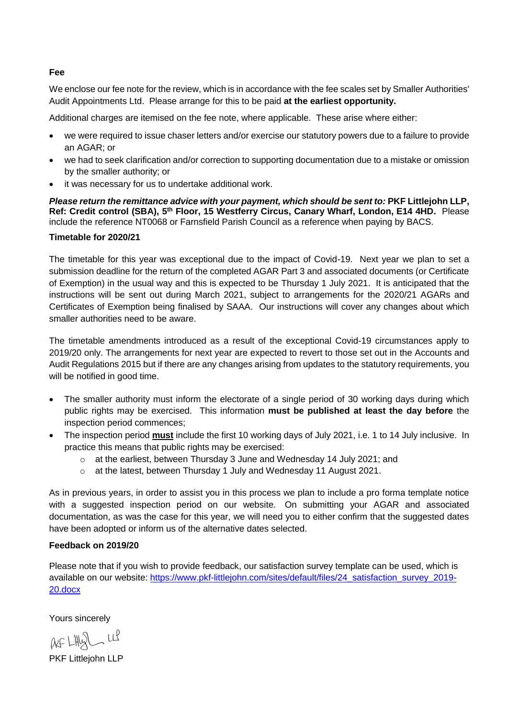#### **Fee**

We enclose our fee note for the review, which is in accordance with the fee scales set by Smaller Authorities' Audit Appointments Ltd. Please arrange for this to be paid **at the earliest opportunity.**

Additional charges are itemised on the fee note, where applicable. These arise where either:

- we were required to issue chaser letters and/or exercise our statutory powers due to a failure to provide an AGAR; or
- we had to seek clarification and/or correction to supporting documentation due to a mistake or omission by the smaller authority; or
- it was necessary for us to undertake additional work.

*Please return the remittance advice with your payment, which should be sent to:* **PKF Littlejohn LLP,**  Ref: Credit control (SBA), 5<sup>th</sup> Floor, 15 Westferry Circus, Canary Wharf, London, E14 4HD. Please include the reference NT0068 or Farnsfield Parish Council as a reference when paying by BACS.

### **Timetable for 2020/21**

The timetable for this year was exceptional due to the impact of Covid-19. Next year we plan to set a submission deadline for the return of the completed AGAR Part 3 and associated documents (or Certificate of Exemption) in the usual way and this is expected to be Thursday 1 July 2021. It is anticipated that the instructions will be sent out during March 2021, subject to arrangements for the 2020/21 AGARs and Certificates of Exemption being finalised by SAAA. Our instructions will cover any changes about which smaller authorities need to be aware.

The timetable amendments introduced as a result of the exceptional Covid-19 circumstances apply to 2019/20 only. The arrangements for next year are expected to revert to those set out in the Accounts and Audit Regulations 2015 but if there are any changes arising from updates to the statutory requirements, you will be notified in good time.

- The smaller authority must inform the electorate of a single period of 30 working days during which public rights may be exercised. This information **must be published at least the day before** the inspection period commences;
- The inspection period **must** include the first 10 working days of July 2021, i.e. 1 to 14 July inclusive. In practice this means that public rights may be exercised:
	- $\circ$  at the earliest, between Thursday 3 June and Wednesday 14 July 2021; and
	- o at the latest, between Thursday 1 July and Wednesday 11 August 2021.

As in previous years, in order to assist you in this process we plan to include a pro forma template notice with a suggested inspection period on our website. On submitting your AGAR and associated documentation, as was the case for this year, we will need you to either confirm that the suggested dates have been adopted or inform us of the alternative dates selected.

### **Feedback on 2019/20**

Please note that if you wish to provide feedback, our satisfaction survey template can be used, which is available on our website: [https://www.pkf-littlejohn.com/sites/default/files/24\\_satisfaction\\_survey\\_2019-](https://www.pkf-littlejohn.com/sites/default/files/24_satisfaction_survey_2019-20.docx) [20.docx](https://www.pkf-littlejohn.com/sites/default/files/24_satisfaction_survey_2019-20.docx)

Yours sincerely

 $AFLMQ$   $Uf$ 

PKF Littlejohn LLP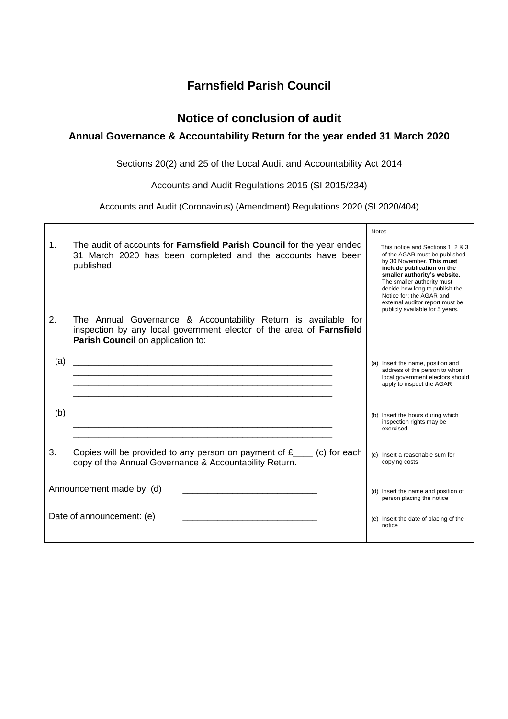## **Farnsfield Parish Council**

### **Notice of conclusion of audit**

### **Annual Governance & Accountability Return for the year ended 31 March 2020**

Sections 20(2) and 25 of the Local Audit and Accountability Act 2014

Accounts and Audit Regulations 2015 (SI 2015/234)

Accounts and Audit (Coronavirus) (Amendment) Regulations 2020 (SI 2020/404)

|                           |                                                                                                                                                                             | <b>Notes</b>                                                                                                                                                                                                                                                                                                                    |
|---------------------------|-----------------------------------------------------------------------------------------------------------------------------------------------------------------------------|---------------------------------------------------------------------------------------------------------------------------------------------------------------------------------------------------------------------------------------------------------------------------------------------------------------------------------|
| $\mathbf{1}$ .            | The audit of accounts for <b>Farnsfield Parish Council</b> for the year ended<br>31 March 2020 has been completed and the accounts have been<br>published.                  | This notice and Sections 1, 2 & 3<br>of the AGAR must be published<br>by 30 November. This must<br>include publication on the<br>smaller authority's website.<br>The smaller authority must<br>decide how long to publish the<br>Notice for; the AGAR and<br>external auditor report must be<br>publicly available for 5 years. |
| 2 <sub>1</sub>            | The Annual Governance & Accountability Return is available for<br>inspection by any local government elector of the area of Farnsfield<br>Parish Council on application to: |                                                                                                                                                                                                                                                                                                                                 |
| (a)                       |                                                                                                                                                                             | (a) Insert the name, position and<br>address of the person to whom<br>local government electors should<br>apply to inspect the AGAR                                                                                                                                                                                             |
| (b)                       |                                                                                                                                                                             | (b) Insert the hours during which<br>inspection rights may be<br>exercised                                                                                                                                                                                                                                                      |
| 3.                        | Copies will be provided to any person on payment of $f_{\text{max}}$ (c) for each<br>copy of the Annual Governance & Accountability Return.                                 | (c) Insert a reasonable sum for<br>copying costs                                                                                                                                                                                                                                                                                |
| Announcement made by: (d) |                                                                                                                                                                             | (d) Insert the name and position of<br>person placing the notice                                                                                                                                                                                                                                                                |
|                           | Date of announcement: (e)                                                                                                                                                   | (e) Insert the date of placing of the<br>notice                                                                                                                                                                                                                                                                                 |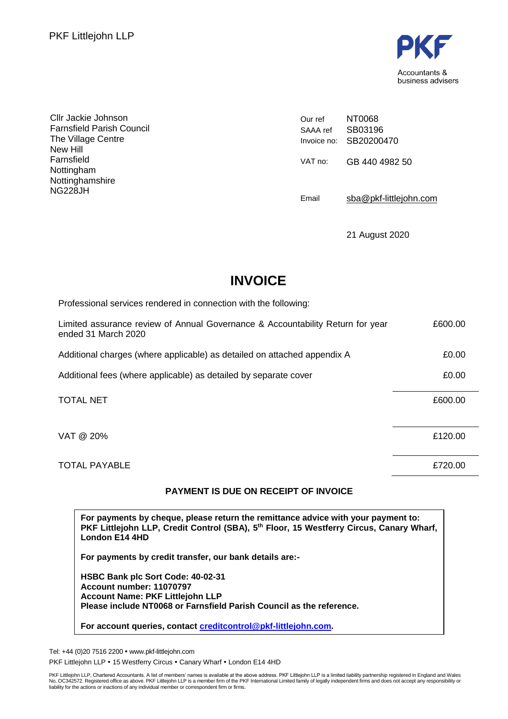

Cllr Jackie Johnson Farnsfield Parish Council The Village Centre New Hill Farnsfield Nottingham Nottinghamshire NG228JH

Our ref SAAA ref Invoice no: SB20200470 NT0068 SB03196 VAT no: GB 440 4982 50 Email [sba@pkf-littlejohn.com](mailto:sba@pkf-littlejohn.com)

21 August 2020

# **INVOICE**

| Professional services rendered in connection with the following:                                      |         |
|-------------------------------------------------------------------------------------------------------|---------|
| Limited assurance review of Annual Governance & Accountability Return for year<br>ended 31 March 2020 | £600.00 |
| Additional charges (where applicable) as detailed on attached appendix A                              | £0.00   |
| Additional fees (where applicable) as detailed by separate cover                                      | £0.00   |
| <b>TOTAL NET</b>                                                                                      | £600.00 |
| VAT @ 20%                                                                                             | £120.00 |
| <b>TOTAL PAYABLE</b>                                                                                  | £720.00 |

### **PAYMENT IS DUE ON RECEIPT OF INVOICE**

**For payments by cheque, please return the remittance advice with your payment to: PKF Littlejohn LLP, Credit Control (SBA), 5 th Floor, 15 Westferry Circus, Canary Wharf, London E14 4HD**

**For payments by credit transfer, our bank details are:-**

**HSBC Bank plc Sort Code: 40-02-31 Account number: 11070797 Account Name: PKF Littlejohn LLP Please include NT0068 or Farnsfield Parish Council as the reference.**

**For account queries, contact [creditcontrol@pkf-littlejohn.com.](mailto:creditcontrol@pkf-littlejohn.com)**

Tel: +44 (0)20 7516 2200 www.pkf-littlejohn.com

PKF Littlejohn LLP . 15 Westferry Circus . Canary Wharf . London E14 4HD

PKF Littlejohn LLP, Chartered Accountants. A list of members' names is available at the above address. PKF Littlejohn LLP is a limited liability partnership registered in England and Wales<br>No. OC342572. Registered office a liability for the actions or inactions of any individual member or correspondent firm or firms.